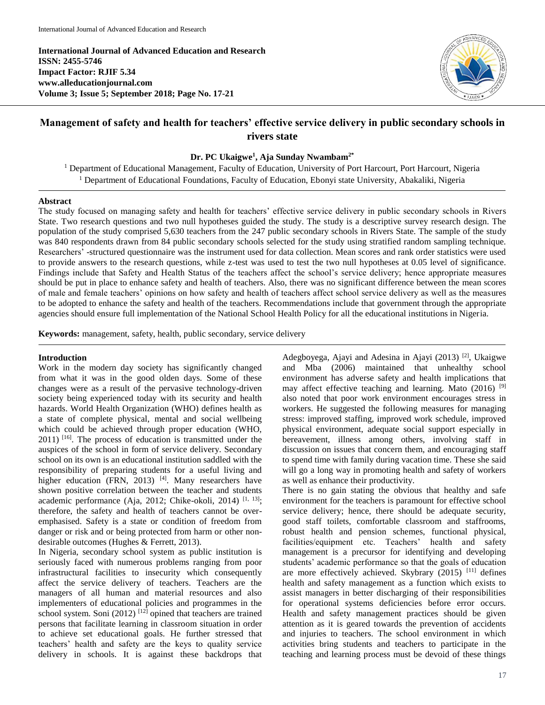**International Journal of Advanced Education and Research ISSN: 2455-5746 Impact Factor: RJIF 5.34 www.alleducationjournal.com Volume 3; Issue 5; September 2018; Page No. 17-21**



# **Management of safety and health for teachers' effective service delivery in public secondary schools in rivers state**

## **Dr. PC Ukaigwe<sup>1</sup> , Aja Sunday Nwambam2\***

<sup>1</sup> Department of Educational Management, Faculty of Education, University of Port Harcourt, Port Harcourt, Nigeria <sup>1</sup> Department of Educational Foundations, Faculty of Education, Ebonyi state University, Abakaliki, Nigeria

#### **Abstract**

The study focused on managing safety and health for teachers' effective service delivery in public secondary schools in Rivers State. Two research questions and two null hypotheses guided the study. The study is a descriptive survey research design. The population of the study comprised 5,630 teachers from the 247 public secondary schools in Rivers State. The sample of the study was 840 respondents drawn from 84 public secondary schools selected for the study using stratified random sampling technique. Researchers' -structured questionnaire was the instrument used for data collection. Mean scores and rank order statistics were used to provide answers to the research questions, while z-test was used to test the two null hypotheses at 0.05 level of significance. Findings include that Safety and Health Status of the teachers affect the school's service delivery; hence appropriate measures should be put in place to enhance safety and health of teachers. Also, there was no significant difference between the mean scores of male and female teachers' opinions on how safety and health of teachers affect school service delivery as well as the measures to be adopted to enhance the safety and health of the teachers. Recommendations include that government through the appropriate agencies should ensure full implementation of the National School Health Policy for all the educational institutions in Nigeria.

**Keywords:** management, safety, health, public secondary, service delivery

#### **Introduction**

Work in the modern day society has significantly changed from what it was in the good olden days. Some of these changes were as a result of the pervasive technology-driven society being experienced today with its security and health hazards. World Health Organization (WHO) defines health as a state of complete physical, mental and social wellbeing which could be achieved through proper education (WHO, 2011) [16] . The process of education is transmitted under the auspices of the school in form of service delivery. Secondary school on its own is an educational institution saddled with the responsibility of preparing students for a useful living and higher education (FRN, 2013) <sup>[4]</sup>. Many researchers have shown positive correlation between the teacher and students academic performance (Aja, 2012; Chike-okoli, 2014)  $[1, 13]$ ; therefore, the safety and health of teachers cannot be overemphasised. Safety is a state or condition of freedom from danger or risk and or being protected from harm or other nondesirable outcomes (Hughes & Ferrett, 2013).

In Nigeria, secondary school system as public institution is seriously faced with numerous problems ranging from poor infrastructural facilities to insecurity which consequently affect the service delivery of teachers. Teachers are the managers of all human and material resources and also implementers of educational policies and programmes in the school system. Soni (2012)<sup>[12]</sup> opined that teachers are trained persons that facilitate learning in classroom situation in order to achieve set educational goals. He further stressed that teachers' health and safety are the keys to quality service delivery in schools. It is against these backdrops that Adegboyega, Ajayi and Adesina in Ajayi (2013) [2], Ukaigwe and Mba (2006) maintained that unhealthy school environment has adverse safety and health implications that may affect effective teaching and learning. Mato  $(2016)$ <sup>[9]</sup> also noted that poor work environment encourages stress in workers. He suggested the following measures for managing stress: improved staffing, improved work schedule, improved physical environment, adequate social support especially in bereavement, illness among others, involving staff in discussion on issues that concern them, and encouraging staff to spend time with family during vacation time. These she said will go a long way in promoting health and safety of workers as well as enhance their productivity.

There is no gain stating the obvious that healthy and safe environment for the teachers is paramount for effective school service delivery; hence, there should be adequate security, good staff toilets, comfortable classroom and staffrooms, robust health and pension schemes, functional physical, facilities/equipment etc. Teachers' health and safety management is a precursor for identifying and developing students' academic performance so that the goals of education are more effectively achieved. Skybrary (2015) [11] defines health and safety management as a function which exists to assist managers in better discharging of their responsibilities for operational systems deficiencies before error occurs. Health and safety management practices should be given attention as it is geared towards the prevention of accidents and injuries to teachers. The school environment in which activities bring students and teachers to participate in the teaching and learning process must be devoid of these things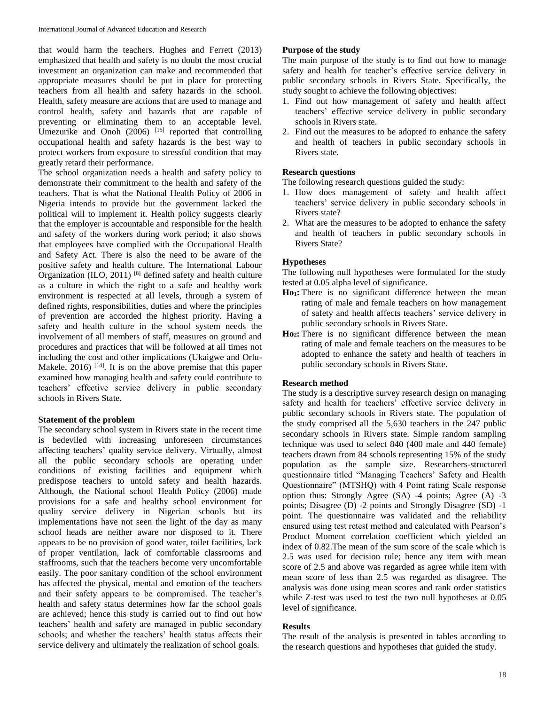that would harm the teachers. Hughes and Ferrett (2013) emphasized that health and safety is no doubt the most crucial investment an organization can make and recommended that appropriate measures should be put in place for protecting teachers from all health and safety hazards in the school. Health, safety measure are actions that are used to manage and control health, safety and hazards that are capable of preventing or eliminating them to an acceptable level. Umezurike and Onoh  $(2006)$ <sup>[15]</sup> reported that controlling occupational health and safety hazards is the best way to protect workers from exposure to stressful condition that may greatly retard their performance.

The school organization needs a health and safety policy to demonstrate their commitment to the health and safety of the teachers. That is what the National Health Policy of 2006 in Nigeria intends to provide but the government lacked the political will to implement it. Health policy suggests clearly that the employer is accountable and responsible for the health and safety of the workers during work period; it also shows that employees have complied with the Occupational Health and Safety Act. There is also the need to be aware of the positive safety and health culture. The International Labour Organization (ILO, 2011)<sup>[8]</sup> defined safety and health culture as a culture in which the right to a safe and healthy work environment is respected at all levels, through a system of defined rights, responsibilities, duties and where the principles of prevention are accorded the highest priority. Having a safety and health culture in the school system needs the involvement of all members of staff, measures on ground and procedures and practices that will be followed at all times not including the cost and other implications (Ukaigwe and Orlu-Makele, 2016)<sup>[14]</sup>. It is on the above premise that this paper examined how managing health and safety could contribute to teachers' effective service delivery in public secondary schools in Rivers State.

## **Statement of the problem**

The secondary school system in Rivers state in the recent time is bedeviled with increasing unforeseen circumstances affecting teachers' quality service delivery. Virtually, almost all the public secondary schools are operating under conditions of existing facilities and equipment which predispose teachers to untold safety and health hazards. Although, the National school Health Policy (2006) made provisions for a safe and healthy school environment for quality service delivery in Nigerian schools but its implementations have not seen the light of the day as many school heads are neither aware nor disposed to it. There appears to be no provision of good water, toilet facilities, lack of proper ventilation, lack of comfortable classrooms and staffrooms, such that the teachers become very uncomfortable easily. The poor sanitary condition of the school environment has affected the physical, mental and emotion of the teachers and their safety appears to be compromised. The teacher's health and safety status determines how far the school goals are achieved; hence this study is carried out to find out how teachers' health and safety are managed in public secondary schools; and whether the teachers' health status affects their service delivery and ultimately the realization of school goals.

## **Purpose of the study**

The main purpose of the study is to find out how to manage safety and health for teacher's effective service delivery in public secondary schools in Rivers State. Specifically, the study sought to achieve the following objectives:

- 1. Find out how management of safety and health affect teachers' effective service delivery in public secondary schools in Rivers state.
- 2. Find out the measures to be adopted to enhance the safety and health of teachers in public secondary schools in Rivers state.

## **Research questions**

The following research questions guided the study:

- 1. How does management of safety and health affect teachers' service delivery in public secondary schools in Rivers state?
- 2. What are the measures to be adopted to enhance the safety and health of teachers in public secondary schools in Rivers State?

## **Hypotheses**

The following null hypotheses were formulated for the study tested at 0.05 alpha level of significance.

- **Ho1:** There is no significant difference between the mean rating of male and female teachers on how management of safety and health affects teachers' service delivery in public secondary schools in Rivers State.
- **Ho2:** There is no significant difference between the mean rating of male and female teachers on the measures to be adopted to enhance the safety and health of teachers in public secondary schools in Rivers State.

## **Research method**

The study is a descriptive survey research design on managing safety and health for teachers' effective service delivery in public secondary schools in Rivers state. The population of the study comprised all the 5,630 teachers in the 247 public secondary schools in Rivers state. Simple random sampling technique was used to select 840 (400 male and 440 female) teachers drawn from 84 schools representing 15% of the study population as the sample size. Researchers-structured questionnaire titled "Managing Teachers' Safety and Health Questionnaire" (MTSHQ) with 4 Point rating Scale response option thus: Strongly Agree (SA) -4 points; Agree (A) -3 points; Disagree (D) -2 points and Strongly Disagree (SD) -1 point. The questionnaire was validated and the reliability ensured using test retest method and calculated with Pearson's Product Moment correlation coefficient which yielded an index of 0.82.The mean of the sum score of the scale which is 2.5 was used for decision rule; hence any item with mean score of 2.5 and above was regarded as agree while item with mean score of less than 2.5 was regarded as disagree. The analysis was done using mean scores and rank order statistics while Z-test was used to test the two null hypotheses at 0.05 level of significance.

## **Results**

The result of the analysis is presented in tables according to the research questions and hypotheses that guided the study.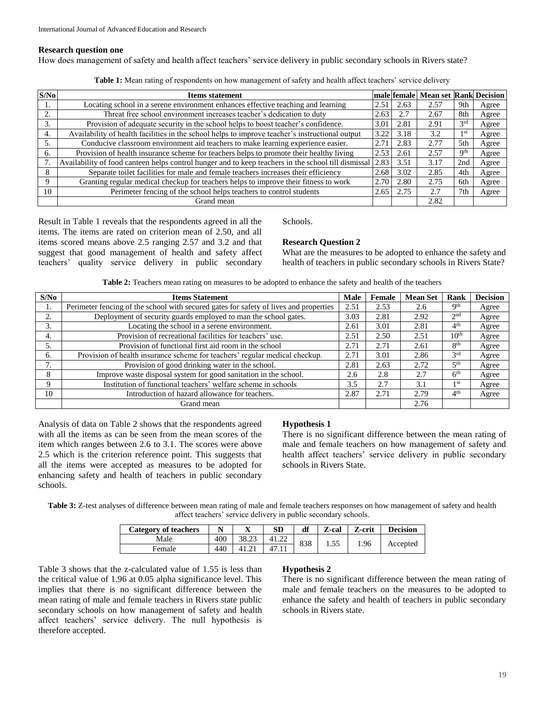#### **Research question one**

How does management of safety and health affect teachers' service delivery in public secondary schools in Rivers state?

**Table 1:** Mean rating of respondents on how management of safety and health affect teachers' service delivery

| S/No | <b>Items statement</b>                                                                              |               | male female | <b>Mean set Rank Decision</b> |                 |       |
|------|-----------------------------------------------------------------------------------------------------|---------------|-------------|-------------------------------|-----------------|-------|
|      | Locating school in a serene environment enhances effective teaching and learning                    | 2.51          | 2.63        | 2.57                          | 9th             | Agree |
|      | Threat free school environment increases teacher's dedication to duty                               | 2.63          | 2.7         | 2.67                          | 8th             | Agree |
|      | Provision of adequate security in the school helps to boost teacher's confidence.                   | 3.01          | 2.81        | 2.91                          | 3 <sup>rd</sup> | Agree |
| 4.   | Availability of health facilities in the school helps to improve teacher's instructional output     | 3.22          | 3.18        | 3.2                           | 1 st            | Agree |
| 5.   | Conducive classroom environment aid teachers to make learning experience easier.                    | $2.7^{\circ}$ | 2.83        | 2.77                          | 5th             | Agree |
| 6.   | Provision of health insurance scheme for teachers helps to promote their healthy living             | 2.53          | 2.61        | 2.57                          | <b>9th</b>      | Agree |
|      | Availability of food canteen helps control hunger and to keep teachers in the school till dismissal | 2.83          | 3.51        | 3.17                          | 2nd             | Agree |
| 8    | Separate toilet facilities for male and female teachers increases their efficiency                  | 2.68          | 3.02        | 2.85                          | 4th             | Agree |
| 9    | Granting regular medical checkup for teachers helps to improve their fitness to work                | 2.70          | 2.80        | 2.75                          | 6th             | Agree |
| 10   | Perimeter fencing of the school helps teachers to control students                                  | 2.65          | 2.75        | 2.7                           | 7th             | Agree |
|      | Grand mean                                                                                          |               |             | 2.82                          |                 |       |

Result in Table 1 reveals that the respondents agreed in all the items. The items are rated on criterion mean of 2.50, and all items scored means above 2.5 ranging 2.57 and 3.2 and that suggest that good management of health and safety affect teachers' quality service delivery in public secondary

## Schools.

## **Research Question 2**

What are the measures to be adopted to enhance the safety and health of teachers in public secondary schools in Rivers State?

| S/No | <b>Items Statement</b>                                                                | Male | Female | <b>Mean Set</b> | Rank             | <b>Decision</b> |
|------|---------------------------------------------------------------------------------------|------|--------|-----------------|------------------|-----------------|
| ı.   | Perimeter fencing of the school with secured gates for safety of lives and properties | 2.51 | 2.53   | 2.6             | <b>Qth</b>       | Agree           |
|      | Deployment of security guards employed to man the school gates.                       | 3.03 | 2.81   | 2.92            | 2 <sub>nd</sub>  | Agree           |
| 3.   | Locating the school in a serene environment.                                          | 2.61 | 3.01   | 2.81            | 4 <sup>th</sup>  | Agree           |
| 4.   | Provision of recreational facilities for teachers' use.                               | 2.51 | 2.50   | 2.51            | 10 <sup>th</sup> | Agree           |
| 5.   | Provision of functional first aid room in the school                                  | 2.71 | 2.71   | 2.61            | 8 <sup>th</sup>  | Agree           |
| 6.   | Provision of health insurance scheme for teachers' regular medical checkup.           | 2.71 | 3.01   | 2.86            | 2rd              | Agree           |
|      | Provision of good drinking water in the school.                                       | 2.81 | 2.63   | 2.72            | 5 <sup>th</sup>  | Agree           |
| 8    | Improve waste disposal system for good sanitation in the school.                      | 2.6  | 2.8    | 2.7             | 6 <sup>th</sup>  | Agree           |
| 9    | Institution of functional teachers' welfare scheme in schools                         | 3.5  | 2.7    | 3.1             | 1 <sub>st</sub>  | Agree           |
| 10   | Introduction of hazard allowance for teachers.                                        | 2.87 | 2.71   | 2.79            | 4 <sup>th</sup>  | Agree           |
|      | Grand mean                                                                            |      |        | 2.76            |                  |                 |

Analysis of data on Table 2 shows that the respondents agreed with all the items as can be seen from the mean scores of the item which ranges between 2.6 to 3.1. The scores were above 2.5 which is the criterion reference point. This suggests that all the items were accepted as measures to be adopted for enhancing safety and health of teachers in public secondary schools.

## **Hypothesis 1**

There is no significant difference between the mean rating of male and female teachers on how management of safety and health affect teachers' service delivery in public secondary schools in Rivers State.

**Table 3:** Z-test analyses of difference between mean rating of male and female teachers responses on how management of safety and health affect teachers' service delivery in public secondary schools.

| Category of teachers | <b>NT</b> | ∡ъ    | SD    | df  | $\mathbf{z}$<br>Z-cal | Z-crit | <b>Decision</b> |  |
|----------------------|-----------|-------|-------|-----|-----------------------|--------|-----------------|--|
| Male                 | 400       | 38.23 | 41.22 | 838 | 1.55                  | 1.96   |                 |  |
| Female               | 440       |       |       |     |                       |        |                 |  |

Table 3 shows that the z-calculated value of 1.55 is less than the critical value of 1.96 at 0.05 alpha significance level. This implies that there is no significant difference between the mean rating of male and female teachers in Rivers state public secondary schools on how management of safety and health affect teachers' service delivery. The null hypothesis is therefore accepted.

## **Hypothesis 2**

There is no significant difference between the mean rating of male and female teachers on the measures to be adopted to enhance the safety and health of teachers in public secondary schools in Rivers state.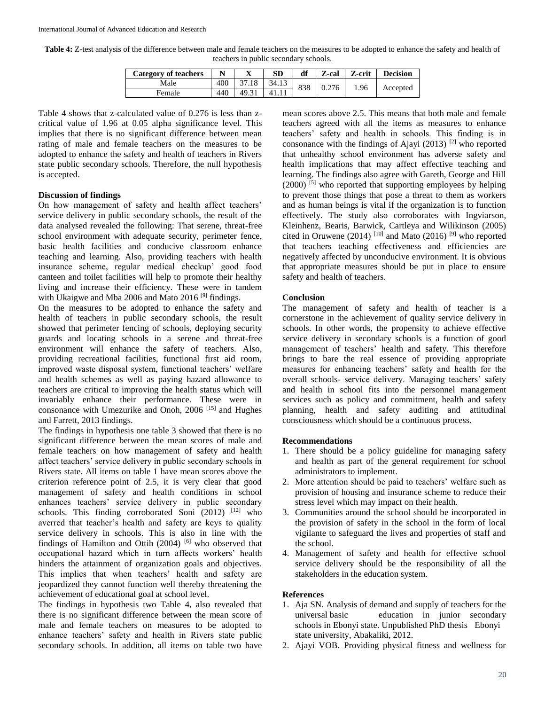**Table 4:** Z-test analysis of the difference between male and female teachers on the measures to be adopted to enhance the safety and health of teachers in public secondary schools.

| <b>Category of teachers</b> | N   | △     | SD    | df  | Z-cal | Z-crit | <b>Decision</b> |
|-----------------------------|-----|-------|-------|-----|-------|--------|-----------------|
| Male                        | 400 |       | 34.13 | 838 | 0.276 | 1.96   |                 |
| Female                      | 440 | 49.31 |       |     |       |        | Accepted        |

Table 4 shows that z-calculated value of 0.276 is less than zcritical value of 1.96 at 0.05 alpha significance level. This implies that there is no significant difference between mean rating of male and female teachers on the measures to be adopted to enhance the safety and health of teachers in Rivers state public secondary schools. Therefore, the null hypothesis is accepted.

## **Discussion of findings**

On how management of safety and health affect teachers' service delivery in public secondary schools, the result of the data analysed revealed the following: That serene, threat-free school environment with adequate security, perimeter fence, basic health facilities and conducive classroom enhance teaching and learning. Also, providing teachers with health insurance scheme, regular medical checkup' good food canteen and toilet facilities will help to promote their healthy living and increase their efficiency. These were in tandem with Ukaigwe and Mba 2006 and Mato 2016<sup>[9]</sup> findings.

On the measures to be adopted to enhance the safety and health of teachers in public secondary schools, the result showed that perimeter fencing of schools, deploying security guards and locating schools in a serene and threat-free environment will enhance the safety of teachers. Also, providing recreational facilities, functional first aid room, improved waste disposal system, functional teachers' welfare and health schemes as well as paying hazard allowance to teachers are critical to improving the health status which will invariably enhance their performance. These were in consonance with Umezurike and Onoh, 2006 [15] and Hughes and Farrett, 2013 findings.

The findings in hypothesis one table 3 showed that there is no significant difference between the mean scores of male and female teachers on how management of safety and health affect teachers' service delivery in public secondary schools in Rivers state. All items on table 1 have mean scores above the criterion reference point of 2.5, it is very clear that good management of safety and health conditions in school enhances teachers' service delivery in public secondary schools. This finding corroborated Soni  $(2012)$ <sup>[12]</sup> who averred that teacher's health and safety are keys to quality service delivery in schools. This is also in line with the findings of Hamilton and Ottih  $(2004)$  [6] who observed that occupational hazard which in turn affects workers' health hinders the attainment of organization goals and objectives. This implies that when teachers' health and safety are jeopardized they cannot function well thereby threatening the achievement of educational goal at school level.

The findings in hypothesis two Table 4, also revealed that there is no significant difference between the mean score of male and female teachers on measures to be adopted to enhance teachers' safety and health in Rivers state public secondary schools. In addition, all items on table two have

mean scores above 2.5. This means that both male and female teachers agreed with all the items as measures to enhance teachers' safety and health in schools. This finding is in consonance with the findings of Ajayi (2013)  $[2]$  who reported that unhealthy school environment has adverse safety and health implications that may affect effective teaching and learning. The findings also agree with Gareth, George and Hill  $(2000)$ <sup>[5]</sup> who reported that supporting employees by helping to prevent those things that pose a threat to them as workers and as human beings is vital if the organization is to function effectively. The study also corroborates with Ingviarson, Kleinhenz, Bearis, Barwick, Cartleya and Wilikinson (2005) cited in Oruwene (2014)  $^{[10]}$  and Mato (2016) <sup>[9]</sup> who reported that teachers teaching effectiveness and efficiencies are negatively affected by unconducive environment. It is obvious that appropriate measures should be put in place to ensure safety and health of teachers.

### **Conclusion**

The management of safety and health of teacher is a cornerstone in the achievement of quality service delivery in schools. In other words, the propensity to achieve effective service delivery in secondary schools is a function of good management of teachers' health and safety. This therefore brings to bare the real essence of providing appropriate measures for enhancing teachers' safety and health for the overall schools- service delivery. Managing teachers' safety and health in school fits into the personnel management services such as policy and commitment, health and safety planning, health and safety auditing and attitudinal consciousness which should be a continuous process.

#### **Recommendations**

- 1. There should be a policy guideline for managing safety and health as part of the general requirement for school administrators to implement.
- 2. More attention should be paid to teachers' welfare such as provision of housing and insurance scheme to reduce their stress level which may impact on their health.
- 3. Communities around the school should be incorporated in the provision of safety in the school in the form of local vigilante to safeguard the lives and properties of staff and the school.
- 4. Management of safety and health for effective school service delivery should be the responsibility of all the stakeholders in the education system.

#### **References**

- 1. Aja SN. Analysis of demand and supply of teachers for the universal basic education in junior secondary schools in Ebonyi state. Unpublished PhD thesis Ebonyi state university, Abakaliki, 2012.
- 2. Ajayi VOB. Providing physical fitness and wellness for